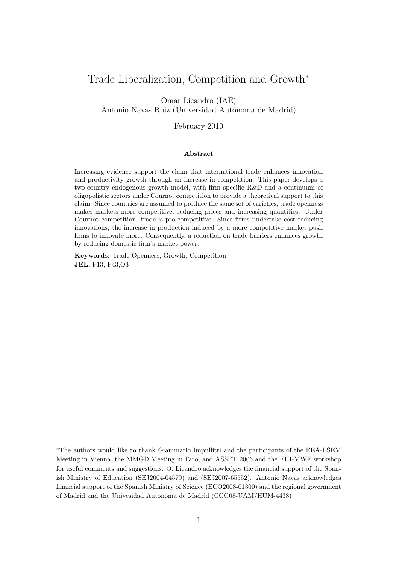# Trade Liberalization, Competition and Growth<sup>∗</sup>

Omar Licandro (IAE) Antonio Navas Ruiz (Universidad Autónoma de Madrid)

February 2010

#### Abstract

Increasing evidence support the claim that international trade enhances innovation and productivity growth through an increase in competition. This paper develops a two-country endogenous growth model, with firm specific R&D and a continuum of oligopolistic sectors under Cournot competition to provide a theoretical support to this claim. Since countries are assumed to produce the same set of varieties, trade openness makes markets more competitive, reducing prices and increasing quantities. Under Cournot competition, trade is pro-competitive. Since firms undertake cost reducing innovations, the increase in production induced by a more competitive market push firms to innovate more. Consequently, a reduction on trade barriers enhances growth by reducing domestic firm's market power.

Keywords: Trade Openness, Growth, Competition JEL: F13, F43,O3

<sup>∗</sup>The authors would like to thank Giammario Impullitti and the participants of the EEA-ESEM Meeting in Vienna, the MMGD Meeting in Faro, and ASSET 2006 and the EUI-MWF workshop for useful comments and suggestions. O. Licandro acknowledges the financial support of the Spanish Ministry of Education (SEJ2004-04579) and (SEJ2007-65552). Antonio Navas acknowledges financial support of the Spanish Ministry of Science (ECO2008-01300) and the regional government of Madrid and the Univesidad Autonoma de Madrid (CCG08-UAM/HUM-4438)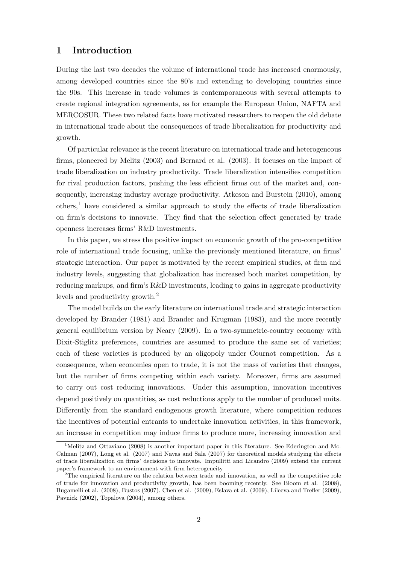### 1 Introduction

During the last two decades the volume of international trade has increased enormously, among developed countries since the 80's and extending to developing countries since the 90s. This increase in trade volumes is contemporaneous with several attempts to create regional integration agreements, as for example the European Union, NAFTA and MERCOSUR. These two related facts have motivated researchers to reopen the old debate in international trade about the consequences of trade liberalization for productivity and growth.

Of particular relevance is the recent literature on international trade and heterogeneous firms, pioneered by Melitz (2003) and Bernard et al. (2003). It focuses on the impact of trade liberalization on industry productivity. Trade liberalization intensifies competition for rival production factors, pushing the less efficient firms out of the market and, consequently, increasing industry average productivity. Atkeson and Burstein (2010), among others,<sup>1</sup> have considered a similar approach to study the effects of trade liberalization on firm's decisions to innovate. They find that the selection effect generated by trade openness increases firms' R&D investments.

In this paper, we stress the positive impact on economic growth of the pro-competitive role of international trade focusing, unlike the previously mentioned literature, on firms' strategic interaction. Our paper is motivated by the recent empirical studies, at firm and industry levels, suggesting that globalization has increased both market competition, by reducing markups, and firm's R&D investments, leading to gains in aggregate productivity levels and productivity growth.<sup>2</sup>

The model builds on the early literature on international trade and strategic interaction developed by Brander (1981) and Brander and Krugman (1983), and the more recently general equilibrium version by Neary (2009). In a two-symmetric-country economy with Dixit-Stiglitz preferences, countries are assumed to produce the same set of varieties; each of these varieties is produced by an oligopoly under Cournot competition. As a consequence, when economies open to trade, it is not the mass of varieties that changes, but the number of firms competing within each variety. Moreover, firms are assumed to carry out cost reducing innovations. Under this assumption, innovation incentives depend positively on quantities, as cost reductions apply to the number of produced units. Differently from the standard endogenous growth literature, where competition reduces the incentives of potential entrants to undertake innovation activities, in this framework, an increase in competition may induce firms to produce more, increasing innovation and

<sup>&</sup>lt;sup>1</sup>Melitz and Ottaviano (2008) is another important paper in this literature. See Ederington and Mc-Calman (2007), Long et al. (2007) and Navas and Sala (2007) for theoretical models studying the effects of trade liberalization on firms' decisions to innovate. Impullitti and Licandro (2009) extend the current paper's framework to an environment with firm heterogeneity

<sup>&</sup>lt;sup>2</sup>The empirical literature on the relation between trade and innovation, as well as the competitive role of trade for innovation and productivity growth, has been booming recently. See Bloom et al. (2008), Bugamelli et al. (2008), Bustos (2007), Chen et al. (2009), Eslava et al. (2009), Lileeva and Trefler (2009), Pavnick (2002), Topalova (2004), among others.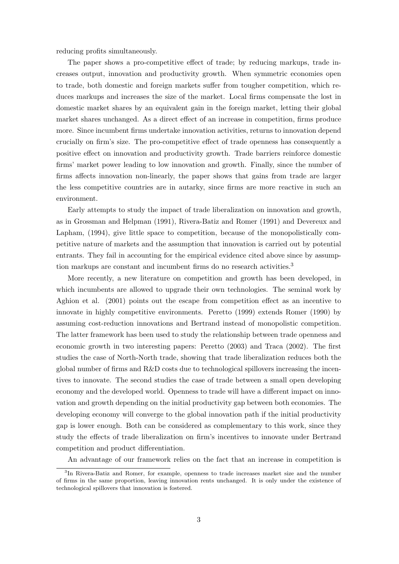reducing profits simultaneously.

The paper shows a pro-competitive effect of trade; by reducing markups, trade increases output, innovation and productivity growth. When symmetric economies open to trade, both domestic and foreign markets suffer from tougher competition, which reduces markups and increases the size of the market. Local firms compensate the lost in domestic market shares by an equivalent gain in the foreign market, letting their global market shares unchanged. As a direct effect of an increase in competition, firms produce more. Since incumbent firms undertake innovation activities, returns to innovation depend crucially on firm's size. The pro-competitive effect of trade openness has consequently a positive effect on innovation and productivity growth. Trade barriers reinforce domestic firms' market power leading to low innovation and growth. Finally, since the number of firms affects innovation non-linearly, the paper shows that gains from trade are larger the less competitive countries are in autarky, since firms are more reactive in such an environment.

Early attempts to study the impact of trade liberalization on innovation and growth, as in Grossman and Helpman (1991), Rivera-Batiz and Romer (1991) and Devereux and Lapham, (1994), give little space to competition, because of the monopolistically competitive nature of markets and the assumption that innovation is carried out by potential entrants. They fail in accounting for the empirical evidence cited above since by assumption markups are constant and incumbent firms do no research activities.<sup>3</sup>

More recently, a new literature on competition and growth has been developed, in which incumbents are allowed to upgrade their own technologies. The seminal work by Aghion et al. (2001) points out the escape from competition effect as an incentive to innovate in highly competitive environments. Peretto (1999) extends Romer (1990) by assuming cost-reduction innovations and Bertrand instead of monopolistic competition. The latter framework has been used to study the relationship between trade openness and economic growth in two interesting papers: Peretto (2003) and Traca (2002). The first studies the case of North-North trade, showing that trade liberalization reduces both the global number of firms and R&D costs due to technological spillovers increasing the incentives to innovate. The second studies the case of trade between a small open developing economy and the developed world. Openness to trade will have a different impact on innovation and growth depending on the initial productivity gap between both economies. The developing economy will converge to the global innovation path if the initial productivity gap is lower enough. Both can be considered as complementary to this work, since they study the effects of trade liberalization on firm's incentives to innovate under Bertrand competition and product differentiation.

An advantage of our framework relies on the fact that an increase in competition is

<sup>&</sup>lt;sup>3</sup>In Rivera-Batiz and Romer, for example, openness to trade increases market size and the number of firms in the same proportion, leaving innovation rents unchanged. It is only under the existence of technological spillovers that innovation is fostered.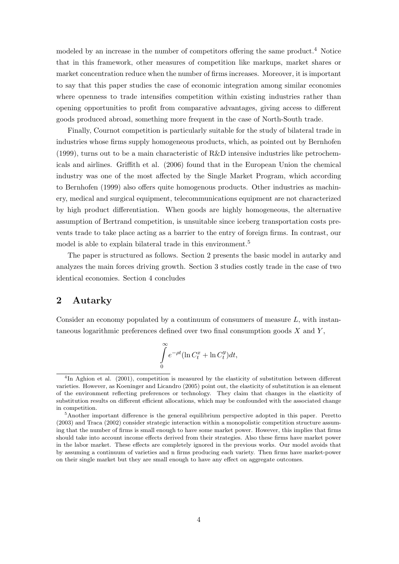modeled by an increase in the number of competitors offering the same product.<sup>4</sup> Notice that in this framework, other measures of competition like markups, market shares or market concentration reduce when the number of firms increases. Moreover, it is important to say that this paper studies the case of economic integration among similar economies where openness to trade intensifies competition within existing industries rather than opening opportunities to profit from comparative advantages, giving access to different goods produced abroad, something more frequent in the case of North-South trade.

Finally, Cournot competition is particularly suitable for the study of bilateral trade in industries whose firms supply homogeneous products, which, as pointed out by Bernhofen (1999), turns out to be a main characteristic of R&D intensive industries like petrochemicals and airlines. Griffith et al. (2006) found that in the European Union the chemical industry was one of the most affected by the Single Market Program, which according to Bernhofen (1999) also offers quite homogenous products. Other industries as machinery, medical and surgical equipment, telecommunications equipment are not characterized by high product differentiation. When goods are highly homogeneous, the alternative assumption of Bertrand competition, is unsuitable since iceberg transportation costs prevents trade to take place acting as a barrier to the entry of foreign firms. In contrast, our model is able to explain bilateral trade in this environment.<sup>5</sup>

The paper is structured as follows. Section 2 presents the basic model in autarky and analyzes the main forces driving growth. Section 3 studies costly trade in the case of two identical economies. Section 4 concludes

# 2 Autarky

Consider an economy populated by a continuum of consumers of measure  $L$ , with instantaneous logarithmic preferences defined over two final consumption goods  $X$  and  $Y$ ,

$$
\int_{0}^{\infty} e^{-\rho t} (\ln C_t^x + \ln C_t^y) dt,
$$

<sup>&</sup>lt;sup>4</sup>In Aghion et al. (2001), competition is measured by the elasticity of substitution between different varieties. However, as Koeninger and Licandro (2005) point out, the elasticity of substitution is an element of the environment reflecting preferences or technology. They claim that changes in the elasticity of substitution results on different efficient allocations, which may be confounded with the associated change in competition.

 $5$ Another important difference is the general equilibrium perspective adopted in this paper. Peretto (2003) and Traca (2002) consider strategic interaction within a monopolistic competition structure assuming that the number of firms is small enough to have some market power. However, this implies that firms should take into account income effects derived from their strategies. Also these firms have market power in the labor market. These effects are completely ignored in the previous works. Our model avoids that by assuming a continuum of varieties and n firms producing each variety. Then firms have market-power on their single market but they are small enough to have any effect on aggregate outcomes.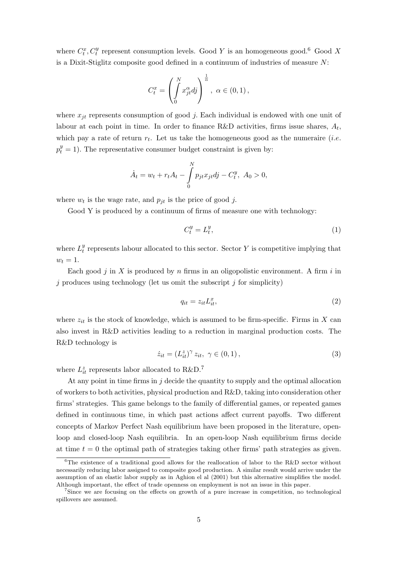where  $C_t^x$ ,  $C_t^y$  represent consumption levels. Good Y is an homogeneous good.<sup>6</sup> Good X is a Dixit-Stiglitz composite good defined in a continuum of industries of measure N:

$$
C_t^x = \left(\int\limits_0^N x_{jt}^\alpha dy\right)^{\frac{1}{\alpha}}, \ \alpha \in (0,1),
$$

where  $x_{it}$  represents consumption of good j. Each individual is endowed with one unit of labour at each point in time. In order to finance R&D activities, firms issue shares,  $A_t$ , which pay a rate of return  $r_t$ . Let us take the homogeneous good as the numeraire *(i.e.*  $p_t^y = 1$ ). The representative consumer budget constraint is given by:

$$
\dot{A}_t = w_t + r_t A_t - \int_0^N p_{jt} x_{jt} dy - C_t^y, \ A_0 > 0,
$$

where  $w_t$  is the wage rate, and  $p_{jt}$  is the price of good j.

Good Y is produced by a continuum of firms of measure one with technology:

$$
C_t^y = L_t^y,\tag{1}
$$

where  $L_t^y$  $t<sub>t</sub><sup>y</sup>$  represents labour allocated to this sector. Sector Y is competitive implying that  $w_t = 1$ .

Each good  $j$  in  $X$  is produced by  $n$  firms in an oligopolistic environment. A firm  $i$  in  $j$  produces using technology (let us omit the subscript  $j$  for simplicity)

$$
q_{it} = z_{it} L_{it}^x,\tag{2}
$$

where  $z_{it}$  is the stock of knowledge, which is assumed to be firm-specific. Firms in X can also invest in R&D activities leading to a reduction in marginal production costs. The R&D technology is

$$
\dot{z}_{it} = (L_{it}^{z})^{\gamma} z_{it}, \ \gamma \in (0, 1), \tag{3}
$$

where  $L_{it}^z$  represents labor allocated to R&D.<sup>7</sup>

At any point in time firms in  $j$  decide the quantity to supply and the optimal allocation of workers to both activities, physical production and R&D, taking into consideration other firms' strategies. This game belongs to the family of differential games, or repeated games defined in continuous time, in which past actions affect current payoffs. Two different concepts of Markov Perfect Nash equilibrium have been proposed in the literature, openloop and closed-loop Nash equilibria. In an open-loop Nash equilibrium firms decide at time  $t = 0$  the optimal path of strategies taking other firms' path strategies as given.

<sup>&</sup>lt;sup>6</sup>The existence of a traditional good allows for the reallocation of labor to the R&D sector without necessarily reducing labor assigned to composite good production. A similar result would arrive under the assumption of an elastic labor supply as in Aghion el al (2001) but this alternative simplifies the model. Although important, the effect of trade openness on employment is not an issue in this paper.

<sup>7</sup>Since we are focusing on the effects on growth of a pure increase in competition, no technological spillovers are assumed.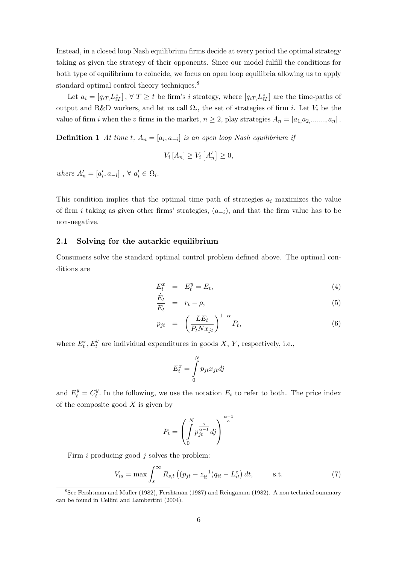Instead, in a closed loop Nash equilibrium firms decide at every period the optimal strategy taking as given the strategy of their opponents. Since our model fulfill the conditions for both type of equilibrium to coincide, we focus on open loop equilibria allowing us to apply standard optimal control theory techniques.<sup>8</sup>

Let  $a_i = [q_{iT}, L_{iT}^z]$ ,  $\forall T \geq t$  be firm's *i* strategy, where  $[q_{iT}, L_{iT}^z]$  are the time-paths of output and R&D workers, and let us call  $\Omega_i$ , the set of strategies of firm i. Let  $V_i$  be the value of firm i when the v firms in the market,  $n \geq 2$ , play strategies  $A_n = [a_{1,}a_2, \ldots, a_n]$ .

**Definition 1** At time t,  $A_n = [a_i, a_{-i}]$  is an open loop Nash equilibrium if

$$
V_i\left[A_n\right] \ge V_i\left[A'_n\right] \ge 0,
$$

where  $A'_n = [a'_i, a_{-i}]$ ,  $\forall a'_i \in \Omega_i$ .

This condition implies that the optimal time path of strategies  $a_i$  maximizes the value of firm i taking as given other firms' strategies,  $(a_{-i})$ , and that the firm value has to be non-negative.

### 2.1 Solving for the autarkic equilibrium

Consumers solve the standard optimal control problem defined above. The optimal conditions are

$$
E_t^x = E_t^y = E_t,\tag{4}
$$

$$
\frac{E_t}{E_t} = r_t - \rho, \tag{5}
$$

$$
p_{jt} = \left(\frac{LE_t}{P_t N x_{jt}}\right)^{1-\alpha} P_t,\tag{6}
$$

where  $E_t^x$ ,  $E_t^y$  are individual expenditures in goods X, Y, respectively, i.e.,

$$
E_t^x = \int\limits_0^N p_{jt} x_{jt} dy
$$

and  $E_t^y = C_t^y$  $t<sub>t</sub>$ . In the following, we use the notation  $E<sub>t</sub>$  to refer to both. The price index of the composite good  $X$  is given by

$$
P_t = \left(\int\limits_0^N p_{jt}^{\frac{\alpha}{\alpha-1}} df\right)^{\frac{\alpha-1}{\alpha}}
$$

Firm  $i$  producing good  $j$  solves the problem:

$$
V_{is} = \max \int_{s}^{\infty} R_{s,t} \left( (p_{jt} - z_{it}^{-1}) q_{it} - L_{it}^{z} \right) dt, \qquad \text{s.t.} \tag{7}
$$

<sup>8</sup>See Fershtman and Muller (1982), Fershtman (1987) and Reinganum (1982). A non technical summary can be found in Cellini and Lambertini (2004).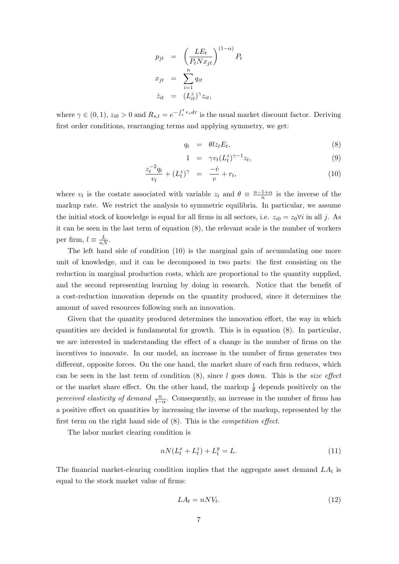$$
p_{jt} = \left(\frac{LE_t}{P_t N x_{jt}}\right)^{(1-\alpha)} P_t
$$
  

$$
x_{jt} = \sum_{i=1}^{n} q_{it}
$$
  

$$
\dot{z}_{it} = (L_{it}^z)^{\gamma} z_{it},
$$

where  $\gamma \in (0,1)$ ,  $z_{i0} > 0$  and  $R_{s,t} = e^{-\int_s^t r_{\tau} d\tau}$  is the usual market discount factor. Deriving first order conditions, rearranging terms and applying symmetry, we get:

$$
q_t = \theta l z_t E_t, \tag{8}
$$

$$
1 = \gamma v_t (L_t^z)^{\gamma - 1} z_t, \tag{9}
$$

$$
\frac{z_t^{-2}q_t}{v_t} + (L_t^z)^\gamma = \frac{-\dot{v}}{v} + r_t,\tag{10}
$$

where  $v_t$  is the costate associated with variable  $z_t$  and  $\theta \equiv \frac{n-1+a}{n}$  $\frac{1+\alpha}{n}$  is the inverse of the markup rate. We restrict the analysis to symmetric equilibria. In particular, we assume the initial stock of knowledge is equal for all firms in all sectors, i.e.  $z_{i0} = z_0 \forall i$  in all j. As it can be seen in the last term of equation (8), the relevant scale is the number of workers per firm,  $l \equiv \frac{L}{nN}$ .

The left hand side of condition (10) is the marginal gain of accumulating one more unit of knowledge, and it can be decomposed in two parts: the first consisting on the reduction in marginal production costs, which are proportional to the quantity supplied, and the second representing learning by doing in research. Notice that the benefit of a cost-reduction innovation depends on the quantity produced, since it determines the amount of saved resources following such an innovation.

Given that the quantity produced determines the innovation effort, the way in which quantities are decided is fundamental for growth. This is in equation (8). In particular, we are interested in understanding the effect of a change in the number of firms on the incentives to innovate. In our model, an increase in the number of firms generates two different, opposite forces. On the one hand, the market share of each firm reduces, which can be seen in the last term of condition  $(8)$ , since l goes down. This is the *size effect* or the market share effect. On the other hand, the markup  $\frac{1}{\theta}$  depends positively on the *perceived elasticity of demand*  $\frac{n}{1-\alpha}$ . Consequently, an increase in the number of firms has a positive effect on quantities by increasing the inverse of the markup, represented by the first term on the right hand side of (8). This is the competition effect.

The labor market clearing condition is

$$
nN(L_t^x + L_t^z) + L_t^y = L.\t\t(11)
$$

The financial market-clearing condition implies that the aggregate asset demand  $LA_t$  is equal to the stock market value of firms:

$$
LA_t = nNV_t. \tag{12}
$$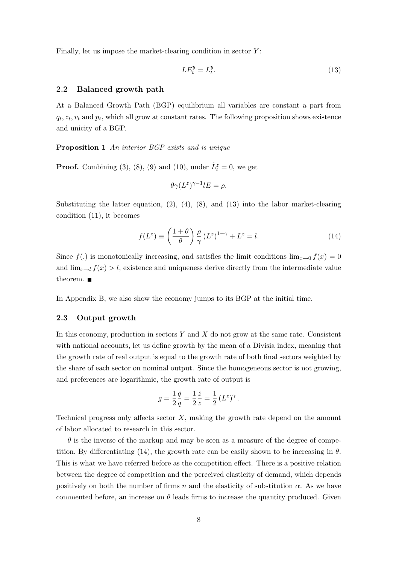Finally, let us impose the market-clearing condition in sector  $Y$ :

$$
LE_t^y = L_t^y. \tag{13}
$$

#### 2.2 Balanced growth path

At a Balanced Growth Path (BGP) equilibrium all variables are constant a part from  $q_t, z_t, v_t$  and  $p_t$ , which all grow at constant rates. The following proposition shows existence and unicity of a BGP.

Proposition 1 An interior BGP exists and is unique

**Proof.** Combining (3), (8), (9) and (10), under  $\dot{L}_t^z = 0$ , we get

$$
\theta \gamma (L^z)^{\gamma -1} lE = \rho.
$$

Substituting the latter equation,  $(2)$ ,  $(4)$ ,  $(8)$ , and  $(13)$  into the labor market-clearing condition (11), it becomes

$$
f(L^z) \equiv \left(\frac{1+\theta}{\theta}\right) \frac{\rho}{\gamma} (L^z)^{1-\gamma} + L^z = l. \tag{14}
$$

Since  $f(.)$  is monotonically increasing, and satisfies the limit conditions  $\lim_{x\to 0} f(x) = 0$ and  $\lim_{x\to l} f(x) > l$ , existence and uniqueness derive directly from the intermediate value theorem.  $\blacksquare$ 

In Appendix B, we also show the economy jumps to its BGP at the initial time.

#### 2.3 Output growth

In this economy, production in sectors  $Y$  and  $X$  do not grow at the same rate. Consistent with national accounts, let us define growth by the mean of a Divisia index, meaning that the growth rate of real output is equal to the growth rate of both final sectors weighted by the share of each sector on nominal output. Since the homogeneous sector is not growing, and preferences are logarithmic, the growth rate of output is

$$
g = \frac{1}{2}\frac{\dot{q}}{q} = \frac{1}{2}\frac{\dot{z}}{z} = \frac{1}{2}\left(L^z\right)^{\gamma}.
$$

Technical progress only affects sector  $X$ , making the growth rate depend on the amount of labor allocated to research in this sector.

 $\theta$  is the inverse of the markup and may be seen as a measure of the degree of competition. By differentiating (14), the growth rate can be easily shown to be increasing in  $\theta$ . This is what we have referred before as the competition effect. There is a positive relation between the degree of competition and the perceived elasticity of demand, which depends positively on both the number of firms n and the elasticity of substitution  $\alpha$ . As we have commented before, an increase on  $\theta$  leads firms to increase the quantity produced. Given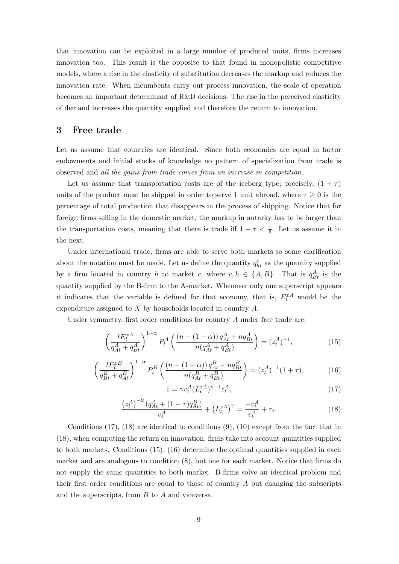that innovation can be exploited in a large number of produced units, firms increases innovation too. This result is the opposite to that found in monopolistic competitive models, where a rise in the elasticity of substitution decreases the markup and reduces the innovation rate. When incumbents carry out process innovation, the scale of operation becomes an important determinant of R&D decisions. The rise in the perceived elasticity of demand increases the quantity supplied and therefore the return to innovation.

### 3 Free trade

Let us assume that countries are identical. Since both economies are equal in factor endowments and initial stocks of knowledge no pattern of specialization from trade is observed and all the gains from trade comes from an increase in competition.

Let us assume that transportation costs are of the iceberg type; precisely,  $(1 + \tau)$ units of the product must be shipped in order to serve 1 unit abroad, where  $\tau \geq 0$  is the percentage of total production that disappears in the process of shipping. Notice that for foreign firms selling in the domestic market, the markup in autarky has to be larger than the transportation costs, meaning that there is trade iff  $1 + \tau < \frac{1}{\theta}$ . Let us assume it in the next.

Under international trade, firms are able to serve both markets so some clarification about the notation must be made. Let us define the quantity  $q_{ht}^c$  as the quantity supplied by a firm located in country h to market c, where  $c, h \in \{A, B\}$ . That is  $q_{Bt}^A$  is the quantity supplied by the B-firm to the A-market. Whenever only one superscript appears it indicates that the variable is defined for that economy, that is,  $E_t^{xA}$  would be the expenditure assigned to X by households located in country A.

Under symmetry, first order conditions for country  $A$  under free trade are:

$$
\left(\frac{lE_t^{xA}}{q_{At}^A + q_{Bt}^A}\right)^{1-\alpha} P_t^A \left(\frac{\left(n - (1 - \alpha)\right)q_{At}^A + nq_{Bt}^A}{n(q_{At}^A + q_{Bt}^A)}\right) = (z_t^A)^{-1},\tag{15}
$$

$$
\left(\frac{lE_t^{xB}}{q_{Bt}^B + q_{At}^B}\right)^{1-\alpha} P_t^B \left(\frac{(n - (1 - \alpha)) q_{At}^B + n q_{Bt}^B}{n(q_{At}^B + q_{Bt}^B)}\right) = (z_t^A)^{-1} (1 + \tau),\tag{16}
$$

$$
1 = \gamma v_t^A (L_t^{zA})^{\gamma - 1} z_t^A,\tag{17}
$$

$$
\frac{\left(z_t^A\right)^{-2} \left(q_{At}^A + (1+\tau)q_{At}^B\right)}{v_t^A} + \left(L_t^{zA}\right)^\gamma = \frac{-\dot{v}_t^A}{v_t^A} + r_t. \tag{18}
$$

Conditions  $(17)$ ,  $(18)$  are identical to conditions  $(9)$ ,  $(10)$  except from the fact that in (18), when computing the return on innovation, firms take into account quantities supplied to both markets. Conditions (15), (16) determine the optimal quantities supplied in each market and are analogous to condition (8), but one for each market. Notice that firms do not supply the same quantities to both market. B-firms solve an identical problem and their first order conditions are equal to those of country  $A$  but changing the subscripts and the superscripts, from B to A and viceversa.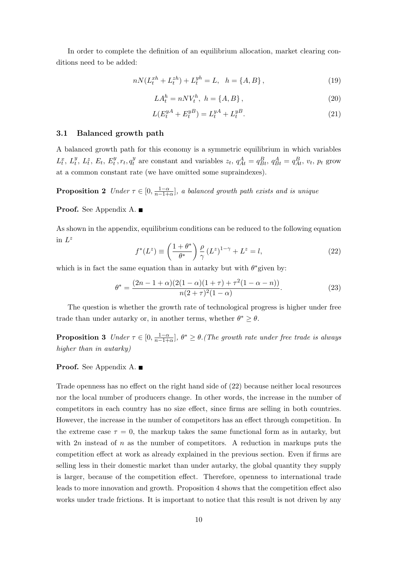In order to complete the definition of an equilibrium allocation, market clearing conditions need to be added:

$$
nN(L_t^{xh} + L_t^{zh}) + L_t^{yh} = L, \quad h = \{A, B\},\tag{19}
$$

$$
LA_t^h = nNV_t^h, \ h = \{A, B\},\tag{20}
$$

$$
L(E_t^{yA} + E_t^{yB}) = L_t^{yA} + L_t^{yB}.
$$
\n(21)

### 3.1 Balanced growth path

A balanced growth path for this economy is a symmetric equilibrium in which variables  $L_t^x$ ,  $L_t^y$ ,  $L_t^z$ ,  $E_t$ ,  $E_t^y$ ,  $r_t$ ,  $q_t^y$ y are constant and variables  $z_t$ ,  $q_{At}^A = q_{Bt}^B$ ,  $q_{Bt}^A = q_{At}^B$ ,  $v_t$ ,  $p_t$  grow at a common constant rate (we have omitted some supraindexes).

**Proposition 2** Under  $\tau \in [0, \frac{1-\alpha}{n-1}$  $\frac{1-\alpha}{n-1+\alpha}$ , a balanced growth path exists and is unique

Proof. See Appendix A.

As shown in the appendix, equilibrium conditions can be reduced to the following equation in  $L^z$ 

$$
f^*(L^z) \equiv \left(\frac{1+\theta^*}{\theta^*}\right) \frac{\rho}{\gamma} (L^z)^{1-\gamma} + L^z = l,\tag{22}
$$

which is in fact the same equation than in autarky but with  $\theta^*$  given by:

$$
\theta^* = \frac{(2n - 1 + \alpha)(2(1 - \alpha)(1 + \tau) + \tau^2(1 - \alpha - n))}{n(2 + \tau)^2(1 - \alpha)}.
$$
\n(23)

The question is whether the growth rate of technological progress is higher under free trade than under autarky or, in another terms, whether  $\theta^* \geq \theta$ .

**Proposition 3** Under  $\tau \in [0, \frac{1-\alpha}{n-1}$  $\frac{1-\alpha}{n-1+\alpha}$ ,  $\theta^* \geq \theta$ .(The growth rate under free trade is always higher than in autarky

### Proof. See Appendix A. ■

Trade openness has no effect on the right hand side of (22) because neither local resources nor the local number of producers change. In other words, the increase in the number of competitors in each country has no size effect, since firms are selling in both countries. However, the increase in the number of competitors has an effect through competition. In the extreme case  $\tau = 0$ , the markup takes the same functional form as in autarky, but with  $2n$  instead of n as the number of competitors. A reduction in markups puts the competition effect at work as already explained in the previous section. Even if firms are selling less in their domestic market than under autarky, the global quantity they supply is larger, because of the competition effect. Therefore, openness to international trade leads to more innovation and growth. Proposition 4 shows that the competition effect also works under trade frictions. It is important to notice that this result is not driven by any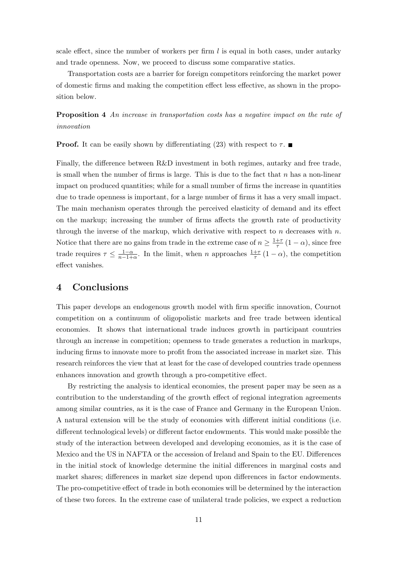scale effect, since the number of workers per firm  $l$  is equal in both cases, under autarky and trade openness. Now, we proceed to discuss some comparative statics.

Transportation costs are a barrier for foreign competitors reinforcing the market power of domestic firms and making the competition effect less effective, as shown in the proposition below.

**Proposition 4** An increase in transportation costs has a negative impact on the rate of innovation

**Proof.** It can be easily shown by differentiating (23) with respect to  $\tau$ .

Finally, the difference between R&D investment in both regimes, autarky and free trade, is small when the number of firms is large. This is due to the fact that  $n$  has a non-linear impact on produced quantities; while for a small number of firms the increase in quantities due to trade openness is important, for a large number of firms it has a very small impact. The main mechanism operates through the perceived elasticity of demand and its effect on the markup; increasing the number of firms affects the growth rate of productivity through the inverse of the markup, which derivative with respect to n decreases with  $n$ . Notice that there are no gains from trade in the extreme case of  $n \geq \frac{1+\tau}{\tau}$  $\frac{+\tau}{\tau}(1-\alpha)$ , since free trade requires  $\tau \leq \frac{1-\alpha}{n-1+1}$  $\frac{1-\alpha}{n-1+\alpha}$ . In the limit, when *n* approaches  $\frac{1+\tau}{\tau}(1-\alpha)$ , the competition effect vanishes.

# 4 Conclusions

This paper develops an endogenous growth model with firm specific innovation, Cournot competition on a continuum of oligopolistic markets and free trade between identical economies. It shows that international trade induces growth in participant countries through an increase in competition; openness to trade generates a reduction in markups, inducing firms to innovate more to profit from the associated increase in market size. This research reinforces the view that at least for the case of developed countries trade openness enhances innovation and growth through a pro-competitive effect.

By restricting the analysis to identical economies, the present paper may be seen as a contribution to the understanding of the growth effect of regional integration agreements among similar countries, as it is the case of France and Germany in the European Union. A natural extension will be the study of economies with different initial conditions (i.e. different technological levels) or different factor endowments. This would make possible the study of the interaction between developed and developing economies, as it is the case of Mexico and the US in NAFTA or the accession of Ireland and Spain to the EU. Differences in the initial stock of knowledge determine the initial differences in marginal costs and market shares; differences in market size depend upon differences in factor endowments. The pro-competitive effect of trade in both economies will be determined by the interaction of these two forces. In the extreme case of unilateral trade policies, we expect a reduction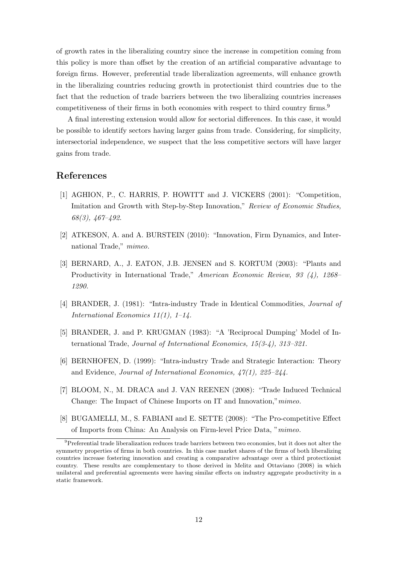of growth rates in the liberalizing country since the increase in competition coming from this policy is more than offset by the creation of an artificial comparative advantage to foreign firms. However, preferential trade liberalization agreements, will enhance growth in the liberalizing countries reducing growth in protectionist third countries due to the fact that the reduction of trade barriers between the two liberalizing countries increases competitiveness of their firms in both economies with respect to third country firms.<sup>9</sup>

A final interesting extension would allow for sectorial differences. In this case, it would be possible to identify sectors having larger gains from trade. Considering, for simplicity, intersectorial independence, we suspect that the less competitive sectors will have larger gains from trade.

### References

- [1] AGHION, P., C. HARRIS, P. HOWITT and J. VICKERS (2001): "Competition, Imitation and Growth with Step-by-Step Innovation," Review of Economic Studies, 68(3), 467–492.
- [2] ATKESON, A. and A. BURSTEIN (2010): "Innovation, Firm Dynamics, and International Trade," mimeo.
- [3] BERNARD, A., J. EATON, J.B. JENSEN and S. KORTUM (2003): "Plants and Productivity in International Trade," American Economic Review, 93 (4), 1268– 1290.
- [4] BRANDER, J. (1981): "Intra-industry Trade in Identical Commodities, Journal of International Economics  $11(1)$ ,  $1-14$ .
- [5] BRANDER, J. and P. KRUGMAN (1983): "A 'Reciprocal Dumping' Model of International Trade, Journal of International Economics, 15(3-4), 313–321.
- [6] BERNHOFEN, D. (1999): "Intra-industry Trade and Strategic Interaction: Theory and Evidence, Journal of International Economics, 47(1), 225–244.
- [7] BLOOM, N., M. DRACA and J. VAN REENEN (2008): "Trade Induced Technical Change: The Impact of Chinese Imports on IT and Innovation,"mimeo.
- [8] BUGAMELLI, M., S. FABIANI and E. SETTE (2008): "The Pro-competitive Effect of Imports from China: An Analysis on Firm-level Price Data, "mimeo.

<sup>&</sup>lt;sup>9</sup>Preferential trade liberalization reduces trade barriers between two economies, but it does not alter the symmetry properties of firms in both countries. In this case market shares of the firms of both liberalizing countries increase fostering innovation and creating a comparative advantage over a third protectionist country. These results are complementary to those derived in Melitz and Ottaviano (2008) in which unilateral and preferential agreements were having similar effects on industry aggregate productivity in a static framework.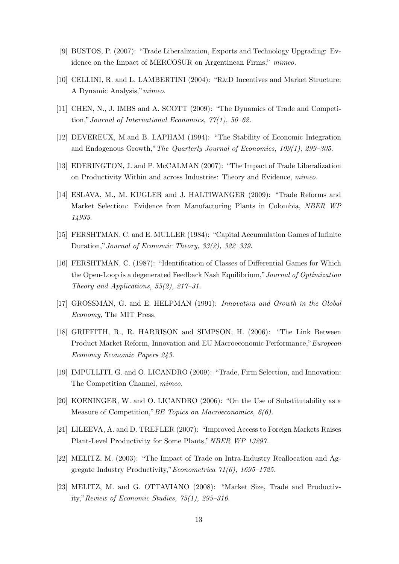- [9] BUSTOS, P. (2007): "Trade Liberalization, Exports and Technology Upgrading: Evidence on the Impact of MERCOSUR on Argentinean Firms," mimeo.
- [10] CELLINI, R. and L. LAMBERTINI (2004): "R&D Incentives and Market Structure: A Dynamic Analysis,"mimeo.
- [11] CHEN, N., J. IMBS and A. SCOTT (2009): "The Dynamics of Trade and Competition,"Journal of International Economics, 77(1), 50–62.
- [12] DEVEREUX, M.and B. LAPHAM (1994): "The Stability of Economic Integration and Endogenous Growth,"The Quarterly Journal of Economics, 109(1), 299–305.
- [13] EDERINGTON, J. and P. McCALMAN (2007): "The Impact of Trade Liberalization on Productivity Within and across Industries: Theory and Evidence, mimeo.
- [14] ESLAVA, M., M. KUGLER and J. HALTIWANGER (2009): "Trade Reforms and Market Selection: Evidence from Manufacturing Plants in Colombia, NBER WP 14935.
- [15] FERSHTMAN, C. and E. MULLER (1984): "Capital Accumulation Games of Infinite Duration,"Journal of Economic Theory, 33(2), 322–339.
- [16] FERSHTMAN, C. (1987): "Identification of Classes of Differential Games for Which the Open-Loop is a degenerated Feedback Nash Equilibrium,"Journal of Optimization Theory and Applications,  $55(2)$ ,  $217-31$ .
- [17] GROSSMAN, G. and E. HELPMAN (1991): Innovation and Growth in the Global Economy, The MIT Press.
- [18] GRIFFITH, R., R. HARRISON and SIMPSON, H. (2006): "The Link Between Product Market Reform, Innovation and EU Macroeconomic Performance,"European Economy Economic Papers 243.
- [19] IMPULLITI, G. and O. LICANDRO (2009): "Trade, Firm Selection, and Innovation: The Competition Channel, mimeo.
- [20] KOENINGER, W. and O. LICANDRO (2006): "On the Use of Substitutability as a Measure of Competition,"BE Topics on Macroeconomics, 6(6).
- [21] LILEEVA, A. and D. TREFLER (2007): "Improved Access to Foreign Markets Raises Plant-Level Productivity for Some Plants,"NBER WP 13297.
- [22] MELITZ, M. (2003): "The Impact of Trade on Intra-Industry Reallocation and Aggregate Industry Productivity,"Econometrica 71(6), 1695–1725.
- [23] MELITZ, M. and G. OTTAVIANO (2008): "Market Size, Trade and Productivity,"Review of Economic Studies, 75(1), 295–316.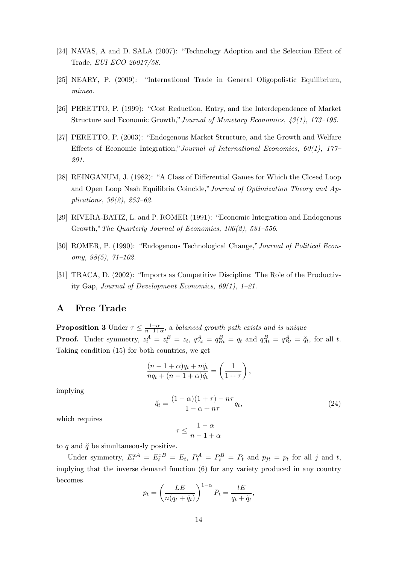- [24] NAVAS, A and D. SALA (2007): "Technology Adoption and the Selection Effect of Trade, EUI ECO 20017/58.
- [25] NEARY, P. (2009): "International Trade in General Oligopolistic Equilibrium, mimeo.
- [26] PERETTO, P. (1999): "Cost Reduction, Entry, and the Interdependence of Market Structure and Economic Growth,"Journal of Monetary Economics, 43(1), 173–195.
- [27] PERETTO, P. (2003): "Endogenous Market Structure, and the Growth and Welfare Effects of Economic Integration," Journal of International Economics,  $60(1)$ ,  $177-$ 201.
- [28] REINGANUM, J. (1982): "A Class of Differential Games for Which the Closed Loop and Open Loop Nash Equilibria Coincide,"Journal of Optimization Theory and Applications, 36(2), 253–62.
- [29] RIVERA-BATIZ, L. and P. ROMER (1991): "Economic Integration and Endogenous Growth,"The Quarterly Journal of Economics, 106(2), 531–556.
- [30] ROMER, P. (1990): "Endogenous Technological Change,"Journal of Political Economy,  $98(5)$ ,  $71-102$ .
- [31] TRACA, D. (2002): "Imports as Competitive Discipline: The Role of the Productivity Gap, Journal of Development Economics, 69(1), 1–21.

### A Free Trade

**Proposition 3** Under  $\tau \leq \frac{1-\alpha}{n-1+1}$  $\frac{1-\alpha}{n-1+\alpha}$ , a balanced growth path exists and is unique **Proof.** Under symmetry,  $z_t^A = z_t^B = z_t$ ,  $q_{At}^A = q_{Bt}^B = q_t$  and  $q_{At}^B = q_{Bt}^A = \breve{q}_t$ , for all t. Taking condition (15) for both countries, we get

$$
\frac{(n-1+\alpha)q_t + n\breve{q}_t}{nq_t + (n-1+\alpha)\breve{q}_t} = \left(\frac{1}{1+\tau}\right),
$$

implying

$$
\breve{q}_t = \frac{(1-\alpha)(1+\tau) - n\tau}{1-\alpha+n\tau}q_t,\tag{24}
$$

which requires

$$
\tau \le \frac{1-\alpha}{n-1+\alpha}
$$

to q and  $\breve{q}$  be simultaneously positive.

Under symmetry,  $E_t^{xA} = E_t^{xB} = E_t$ ,  $P_t^A = P_t^B = P_t$  and  $p_{jt} = p_t$  for all j and t, implying that the inverse demand function (6) for any variety produced in any country becomes

$$
p_t = \left(\frac{LE}{n(q_t + \breve{q}_t)}\right)^{1-\alpha} P_t = \frac{lE}{q_t + \breve{q}_t},
$$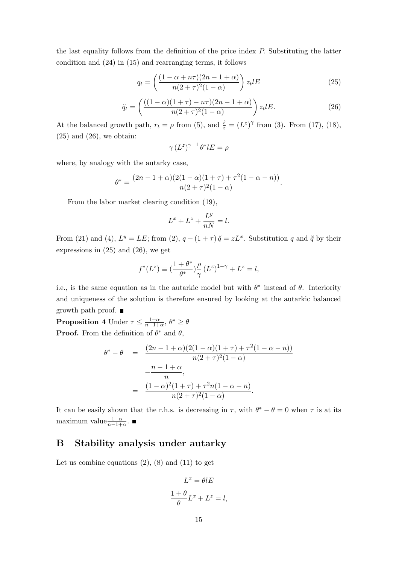the last equality follows from the definition of the price index P. Substituting the latter condition and (24) in (15) and rearranging terms, it follows

$$
q_t = \left(\frac{(1 - \alpha + n\tau)(2n - 1 + \alpha)}{n(2 + \tau)^2(1 - \alpha)}\right)z_t lE\tag{25}
$$

$$
\breve{q}_t = \left( \frac{((1-\alpha)(1+\tau) - n\tau)(2n-1+\alpha)}{n(2+\tau)^2(1-\alpha)} \right) z_t l E. \tag{26}
$$

At the balanced growth path,  $r_t = \rho$  from (5), and  $\frac{\dot{z}}{z} = (L^z)^\gamma$  from (3). From (17), (18),  $(25)$  and  $(26)$ , we obtain:

$$
\gamma \left( L^z \right)^{\gamma -1} \theta^* l E = \rho
$$

where, by analogy with the autarky case,

$$
\theta^* = \frac{(2n-1+\alpha)(2(1-\alpha)(1+\tau)+\tau^2(1-\alpha-n))}{n(2+\tau)^2(1-\alpha)}.
$$

From the labor market clearing condition (19),

$$
L^x + L^z + \frac{L^y}{nN} = l.
$$

From (21) and (4),  $L^y = LE$ ; from (2),  $q + (1 + \tau) \breve{q} = zL^x$ . Substitution q and  $\breve{q}$  by their expressions in (25) and (26), we get

$$
f^*(L^z) \equiv (\frac{1+\theta^*}{\theta^*})\frac{\rho}{\gamma} (L^z)^{1-\gamma} + L^z = l,
$$

i.e., is the same equation as in the autarkic model but with  $\theta^*$  instead of  $\theta$ . Interiority and uniqueness of the solution is therefore ensured by looking at the autarkic balanced growth path proof.

**Proposition 4** Under  $\tau \leq \frac{1-\alpha}{n-1+1}$  $\frac{1-\alpha}{n-1+\alpha}, \theta^* \geq \theta$ **Proof.** From the definition of  $\theta^*$  and  $\theta$ ,

$$
\theta^* - \theta = \frac{(2n - 1 + \alpha)(2(1 - \alpha)(1 + \tau) + \tau^2(1 - \alpha - n))}{n(2 + \tau)^2(1 - \alpha)}
$$

$$
-\frac{n - 1 + \alpha}{n},
$$

$$
= \frac{(1 - \alpha)^2(1 + \tau) + \tau^2 n(1 - \alpha - n)}{n(2 + \tau)^2(1 - \alpha)}.
$$

It can be easily shown that the r.h.s. is decreasing in  $\tau$ , with  $\theta^* - \theta = 0$  when  $\tau$  is at its maximum value $\frac{1-\alpha}{n-1+\alpha}$ .

# B Stability analysis under autarky

Let us combine equations  $(2)$ ,  $(8)$  and  $(11)$  to get

$$
L^x = \theta lE
$$

$$
\frac{1+\theta}{\theta}L^x + L^z = l,
$$